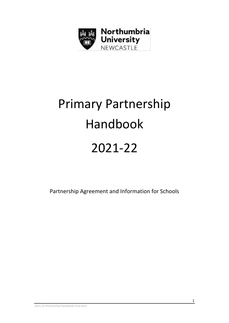

# Primary Partnership Handbook 2021-22

Partnership Agreement and Information for Schools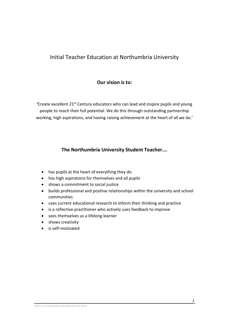# Initial Teacher Education at Northumbria University

#### **Our vision is to:**

*'*Create excellent 21st Century educators who can lead and inspire pupils and young people to reach their full potential. We do this through outstanding partnership working, high aspirations, and having raising achievement at the heart of all we do.'

## **The Northumbria University Student Teacher….**

- has pupils at the heart of everything they do
- has high aspirations for themselves and all pupils
- shows a commitment to social justice
- builds professional and positive relationships within the university and school communities
- uses current educational research to inform their thinking and practice
- is a reflective practitioner who actively uses feedback to improve
- sees themselves as a lifelong learner
- shows creativity
- is self-motivated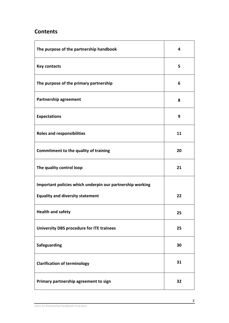# **Contents**

| The purpose of the partnership handbook                   | 4  |
|-----------------------------------------------------------|----|
| <b>Key contacts</b>                                       | 5  |
| The purpose of the primary partnership                    | 6  |
| <b>Partnership agreement</b>                              | 8  |
| <b>Expectations</b>                                       | 9  |
| <b>Roles and responsibilities</b>                         | 11 |
| Commitment to the quality of training                     | 20 |
| The quality control loop                                  | 21 |
| Important policies which underpin our partnership working |    |
| <b>Equality and diversity statement</b>                   | 22 |
| <b>Health and safety</b>                                  | 25 |
| <b>University DBS procedure for ITE trainees</b>          | 25 |
| Safeguarding                                              | 30 |
| <b>Clarification of terminology</b>                       | 31 |
| Primary partnership agreement to sign                     | 32 |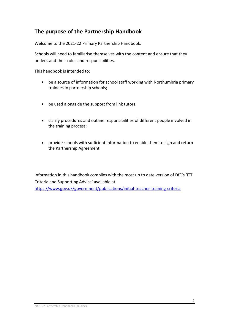# **The purpose of the Partnership Handbook**

Welcome to the 2021-22 Primary Partnership Handbook.

Schools will need to familiarise themselves with the content and ensure that they understand their roles and responsibilities.

This handbook is intended to:

- be a source of information for school staff working with Northumbria primary trainees in partnership schools;
- be used alongside the support from link tutors;
- clarify procedures and outline responsibilities of different people involved in the training process;
- provide schools with sufficient information to enable them to sign and return the Partnership Agreement

Information in this handbook complies with the most up to date version of DfE's 'ITT Criteria and Supporting Advice' available at <https://www.gov.uk/government/publications/initial-teacher-training-criteria>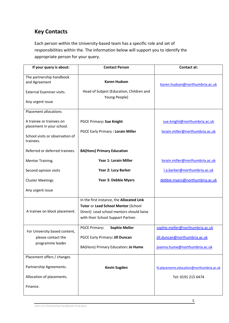# **Key Contacts**

Each person within the University-based team has a specific role and set of responsibilities within the. The information below will support you to identify the appropriate person for your query.

| If your query is about:                                                                               | <b>Contact Person</b>                                                                                                                                               | Contact at:                                                     |
|-------------------------------------------------------------------------------------------------------|---------------------------------------------------------------------------------------------------------------------------------------------------------------------|-----------------------------------------------------------------|
| The partnership handbook<br>and Agreement<br>External Examiner visits.<br>Any urgent issue            | <b>Karen Hudson</b><br>Head of Subject (Education, Children and<br>Young People)                                                                                    | karen.hudson@northumbria.ac.uk                                  |
| <b>Placement allocations</b>                                                                          |                                                                                                                                                                     |                                                                 |
| A trainee or trainees on<br>placement in your school.<br>School visits or observation of<br>trainees. | <b>PGCE Primary: Sue Knight</b><br><b>PGCE Early Primary: Lorain Miller</b>                                                                                         | sue.knight@northumbria.ac.uk<br>lorain.miller@northumbria.ac.uk |
| Referred or deferred trainees.                                                                        | <b>BA(Hons) Primary Education</b>                                                                                                                                   |                                                                 |
| Mentor Training.                                                                                      | Year 1: Lorain Miller                                                                                                                                               | lorain.miller@northumbria.ac.uk                                 |
| Second opinion visits                                                                                 | Year 2: Lucy Barker                                                                                                                                                 | l.a.barker@northumbria.ac.uk                                    |
| <b>Cluster Meetings</b>                                                                               | <b>Year 3: Debbie Myers</b>                                                                                                                                         | debbie.myers@northumbria.ac.uk                                  |
| Any urgent issue                                                                                      |                                                                                                                                                                     |                                                                 |
| A trainee on block placement.                                                                         | In the first instance, the Allocated Link<br>Tutor or Lead School Mentor (School<br>Direct) Lead school mentors should liaise<br>with their School Support Partner. |                                                                 |
| For University based content,                                                                         | <b>PGCE Primary:</b><br><b>Sophie Meller</b>                                                                                                                        | sophie.meller@northumbria.ac.uk                                 |
| please contact the<br>programme leader                                                                | PGCE Early Primary: Jill Duncan                                                                                                                                     | jill.duncan@northumbria.ac.uk                                   |
|                                                                                                       | BA(Hons) Primary Education: Jo Hume                                                                                                                                 | joanna.hume@northumbria.ac.uk                                   |
| Placement offers / changes                                                                            |                                                                                                                                                                     |                                                                 |
| Partnership Agreements.                                                                               | <b>Kevin Sugden</b>                                                                                                                                                 | hl.placements.education@northumbria.ac.uk                       |
| Allocation of placements.                                                                             |                                                                                                                                                                     | Tel: 0191 215 6474                                              |
| Finance.                                                                                              |                                                                                                                                                                     |                                                                 |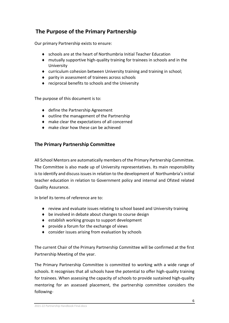# **The Purpose of the Primary Partnership**

Our primary Partnership exists to ensure:

- schools are at the heart of Northumbria Initial Teacher Education
- mutually supportive high-quality training for trainees in schools and in the University
- curriculum cohesion between University training and training in school;
- parity in assessment of trainees across schools
- ◆ reciprocal benefits to schools and the University

The purpose of this document is to:

- ♦ define the Partnership Agreement
- outline the management of the Partnership
- make clear the expectations of all concerned
- make clear how these can be achieved

#### **The Primary Partnership Committee**

All School Mentors are automatically members of the Primary Partnership Committee. The Committee is also made up of University representatives. Its main responsibility is to identify and discuss issues in relation to the development of Northumbria's initial teacher education in relation to Government policy and internal and Ofsted related Quality Assurance.

In brief its terms of reference are to:

- review and evaluate issues relating to school based and University training
- ◆ be involved in debate about changes to course design
- $\bullet$  establish working groups to support development
- ◆ provide a forum for the exchange of views
- consider issues arising from evaluation by schools

The current Chair of the Primary Partnership Committee will be confirmed at the first Partnership Meeting of the year.

The Primary Partnership Committee is committed to working with a wide range of schools. It recognises that all schools have the potential to offer high-quality training for trainees. When assessing the capacity of schools to provide sustained high-quality mentoring for an assessed placement, the partnership committee considers the following-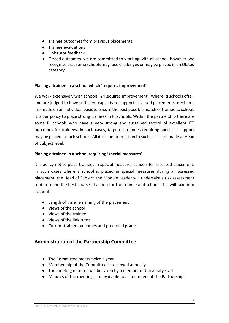- $\bullet$  Trainee outcomes from previous placements
- ◆ Trainee evaluations
- ◆ Link tutor feedback
- Ofsted outcomes- we are committed to working with all school. however, we recognise that some schools may face challenges or may be placed in an Ofsted category

#### **Placing a trainee in a school which 'requires improvement'**

We work extensively with schools in 'Requires Improvement'. Where RI schools offer, and are judged to have sufficient capacity to support assessed placements, decisions are made on an individual basis to ensure the best possible match of trainee to school. It is our policy to place strong trainees in RI schools. Within the partnership there are some RI schools who have a very strong and sustained record of excellent ITT outcomes for trainees. In such cases, targeted trainees requiring specialist support may be placed in such schools. All decisions in relation to such cases are made at Head of Subject level.

#### **Placing a trainee in a school requiring 'special measures'**

It is policy not to place trainees in special measures schools for assessed placement. In such cases where a school is placed in special measures during an assessed placement, the Head of Subject and Module Leader will undertake a risk assessment to determine the best course of action for the trainee and school. This will take into account:

- ◆ Length of time remaining of the placement
- ◆ Views of the school
- Views of the trainee
- ◆ Views of the link tutor
- Current trainee outcomes and predicted grades

#### **Administration of the Partnership Committee**

- ◆ The Committee meets twice a year
- Membership of the Committee is reviewed annually
- The meeting minutes will be taken by a member of University staff
- Minutes of the meetings are available to all members of the Partnership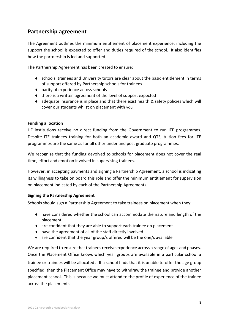# **Partnership agreement**

The Agreement outlines the minimum entitlement of placement experience, including the support the school is expected to offer and duties required of the school. It also identifies how the partnership is led and supported.

The Partnership Agreement has been created to ensure:

- schools, trainees and University tutors are clear about the basic entitlement in terms of support offered by Partnership schools for trainees
- ◆ parity of experience across schools
- there is a written agreement of the level of support expected
- adequate insurance is in place and that there exist health & safety policies which will cover our students whilst on placement with you

#### **Funding allocation**

HE institutions receive no direct funding from the Government to run ITE programmes. Despite ITE trainees training for both an academic award and QTS, tuition fees for ITE programmes are the same as for all other under and post graduate programmes.

We recognise that the funding devolved to schools for placement does not cover the real time, effort and emotion involved in supervising trainees.

However, in accepting payments and signing a Partnership Agreement, a school is indicating its willingness to take on board this role and offer the minimum entitlement for supervision on placement indicated by each of the Partnership Agreements.

#### **Signing the Partnership Agreement**

Schools should sign a Partnership Agreement to take trainees on placement when they:

- have considered whether the school can accommodate the nature and length of the placement
- are confident that they are able to support each trainee on placement
- have the agreement of all of the staff directly involved
- are confident that the year group/s offered will be the one/s available

We are required to ensure that trainees receive experience across a range of ages and phases. Once the Placement Office knows which year groups are available in a particular school a trainee or trainees will be allocated. If a school finds that it is unable to offer the age group specified, then the Placement Office may have to withdraw the trainee and provide another placement school. This is because we must attend to the profile of experience of the trainee across the placements.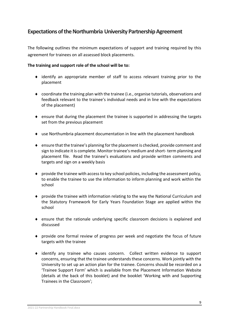## **Expectations of the Northumbria University Partnership Agreement**

The following outlines the minimum expectations of support and training required by this agreement for trainees on all assessed block placements.

#### **The training and support role of the school will be to:**

- identify an appropriate member of staff to access relevant training prior to the placement
- coordinate the training plan with the trainee (i.e., organise tutorials, observations and feedback relevant to the trainee's individual needs and in line with the expectations of the placement)
- ensure that during the placement the trainee is supported in addressing the targets set from the previous placement
- use Northumbria placement documentation in line with the placement handbook
- ensure that the trainee's planning for the placement is checked, provide comment and sign to indicate it is complete. Monitor trainee's medium and short- term planning and placement file. Read the trainee's evaluations and provide written comments and targets and sign on a weekly basis
- provide the trainee with access to key school policies, including the assessment policy, to enable the trainee to use the information to inform planning and work within the school
- provide the trainee with information relating to the way the National Curriculum and the Statutory Framework for Early Years Foundation Stage are applied within the school
- ensure that the rationale underlying specific classroom decisions is explained and discussed
- provide one formal review of progress per week and negotiate the focus of future targets with the trainee
- identify any trainee who causes concern. Collect written evidence to support concerns, ensuring that the trainee understands these concerns. Work jointly with the University to set up an action plan for the trainee. Concerns should be recorded on a 'Trainee Support Form' which is available from the Placement Information Website (details at the back of this booklet) and the booklet 'Working with and Supporting Trainees in the Classroom';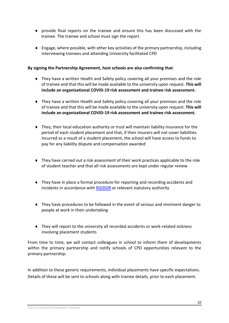- provide final reports on the trainee and ensure this has been discussed with the trainee. The trainee and school must sign the report.
- Engage, where possible, with other key activities of the primary partnership, including interviewing trainees and attending University facilitated CPD

#### **By signing the Partnership Agreement, host schools are also confirming that**:

- They have a written Health and Safety policy covering all your premises and the role of trainee and that this will be made available to the university upon request. **This will include an organisational COVID-19 risk assessment and trainee risk assessment.**
- They have a written Health and Safety policy covering all your premises and the role of trainee and that this will be made available to the university upon request. **This will include an organisational COVID-19 risk assessment and trainee risk assessment.**
- They, their local education authority or trust will maintain liability insurance for the period of each student placement and that, if their insurers will not cover liabilities incurred as a result of a student placement, the school will have access to funds to pay for any liability dispute and compensation awarded
- They have carried out a risk assessment of their work practices applicable to the role of student teacher and that all risk assessments are kept under regular review
- They have in place a formal procedure for reporting and recording accidents and incidents in accordance with [RIDDOR](http://www.hse.gov.uk/riddor/) or relevant statutory authority
- They have procedures to be followed in the event of serious and imminent danger to people at work in their undertaking
- They will report to the university all recorded accidents or work-related sickness involving placement students

From time to time, we will contact colleagues in school to inform them of developments within the primary partnership and notify schools of CPD opportunities relevant to the primary partnership.

In addition to these generic requirements, individual placements have specific expectations. Details of these will be sent to schools along with trainee details, prior to each placement.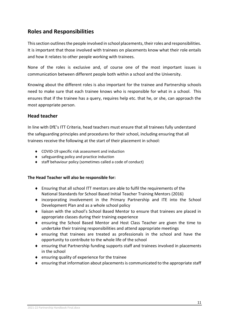# **Roles and Responsibilities**

This section outlines the people involved in school placements, their roles and responsibilities. It is important that those involved with trainees on placements know what their role entails and how it relates to other people working with trainees.

None of the roles is exclusive and, of course one of the most important issues is communication between different people both within a school and the University.

Knowing about the different roles is also important for the trainee and Partnership schools need to make sure that each trainee knows who is responsible for what in a school. This ensures that if the trainee has a query, requires help etc. that he, or she, can approach the most appropriate person.

#### **Head teacher**

In line with DfE's ITT Criteria, head teachers must ensure that all trainees fully understand the safeguarding principles and procedures for their school, including ensuring that all trainees receive the following at the start of their placement in school:

- COVID-19 specific risk assessment and induction
- safeguarding policy and practice induction
- staff behaviour policy (sometimes called a code of conduct)

#### **The Head Teacher will also be responsible for:**

- Ensuring that all school ITT mentors are able to fulfil the requirements of the National Standards for School Based Initial Teacher Training Mentors (2016)
- incorporating involvement in the Primary Partnership and ITE into the School Development Plan and as a whole school policy
- liaison with the school's School Based Mentor to ensure that trainees are placed in appropriate classes during their training experience
- ensuring the School Based Mentor and Host Class Teacher are given the time to undertake their training responsibilities and attend appropriate meetings
- ensuring that trainees are treated as professionals in the school and have the opportunity to contribute to the whole life of the school
- ensuring that Partnership funding supports staff and trainees involved in placements in the school
- $\bullet$  ensuring quality of experience for the trainee
- ensuring that information about placements is communicated to the appropriate staff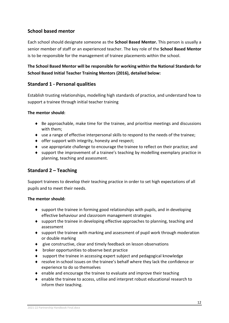## **School based mentor**

Each school should designate someone as the **School Based Mentor.** This person is usually a senior member of staff or an experienced teacher. The key role of the **School Based Mentor** is to be responsible for the management of trainee placements within the school.

**The School Based Mentor will be responsible for working within the National Standards for School Based Initial Teacher Training Mentors (2016), detailed below:**

## **Standard 1 - Personal qualities**

Establish trusting relationships, modelling high standards of practice, and understand how to support a trainee through initial teacher training

#### **The mentor should:**

- Be approachable, make time for the trainee, and prioritise meetings and discussions with them;
- use a range of effective interpersonal skills to respond to the needs of the trainee;
- ◆ offer support with integrity, honesty and respect;
- use appropriate challenge to encourage the trainee to reflect on their practice; and
- $\bullet$  support the improvement of a trainee's teaching by modelling exemplary practice in planning, teaching and assessment.

## **Standard 2 – Teaching**

Support trainees to develop their teaching practice in order to set high expectations of all pupils and to meet their needs.

#### **The mentor should:**

- $\bullet$  support the trainee in forming good relationships with pupils, and in developing effective behaviour and classroom management strategies
- $\bullet$  support the trainee in developing effective approaches to planning, teaching and assessment
- support the trainee with marking and assessment of pupil work through moderation or double marking
- ◆ give constructive, clear and timely feedback on lesson observations
- ◆ broker opportunities to observe best practice
- support the trainee in accessing expert subject and pedagogical knowledge
- resolve in-school issues on the trainee's behalf where they lack the confidence or experience to do so themselves
- enable and encourage the trainee to evaluate and improve their teaching
- enable the trainee to access, utilise and interpret robust educational research to inform their teaching.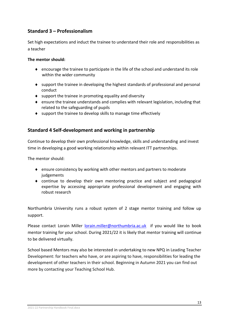## **Standard 3 – Professionalism**

Set high expectations and induct the trainee to understand their role and responsibilities as a teacher

#### **The mentor should:**

- encourage the trainee to participate in the life of the school and understand its role within the wider community
- support the trainee in developing the highest standards of professional and personal conduct
- $\bullet$  support the trainee in promoting equality and diversity
- ensure the trainee understands and complies with relevant legislation, including that related to the safeguarding of pupils
- $\bullet$  support the trainee to develop skills to manage time effectively

## **Standard 4 Self-development and working in partnership**

Continue to develop their own professional knowledge, skills and understanding and invest time in developing a good working relationship within relevant ITT partnerships.

The mentor should:

- ensure consistency by working with other mentors and partners to moderate judgements
- continue to develop their own mentoring practice and subject and pedagogical expertise by accessing appropriate professional development and engaging with robust research

Northumbria University runs a robust system of 2 stage mentor training and follow up support.

Please contact Lorain Miller [lorain.miller@northumbria.ac.uk](mailto:lorain.miller@northumbria.ac.uk) if you would like to book mentor training for your school. During 2021/22 it is likely that mentor training will continue to be delivered virtually.

School based Mentors may also be interested in undertaking to new NPQ in Leading Teacher Development: for teachers who have, or are aspiring to have, responsibilities for leading the development of other teachers in their school. Beginning in Autumn 2021 you can find out more by contacting your Teaching School Hub.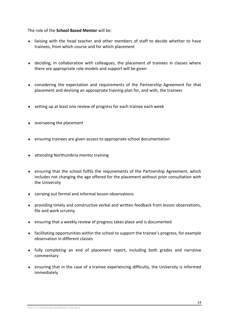The role of the **School Based Mentor** will be:

- liaising with the head teacher and other members of staff to decide whether to have trainees, from which course and for which placement
- deciding, in collaboration with colleagues, the placement of trainees in classes where there are appropriate role models and support will be given
- considering the expectation and requirements of the Partnership Agreement for that placement and devising an appropriate training plan for, and with, the trainees
- setting up at least one review of progress for each trainee each week
- overseeing the placement
- ensuring trainees are given access to appropriate school documentation
- attending Northumbria mentor training
- ensuring that the school fulfils the requirements of the Partnership Agreement, which includes not changing the age offered for the placement without prior consultation with the University
- carrying out formal and informal lesson observations
- providing timely and constructive verbal and written feedback from lesson observations, file and work scrutiny
- ensuring that a weekly review of progress takes place and is documented
- facilitating opportunities within the school to support the trainee's progress, for example observation in different classes
- fully completing an end of placement report, including both grades and narrative commentary
- ensuring that in the case of a trainee experiencing difficulty, the University is informed immediately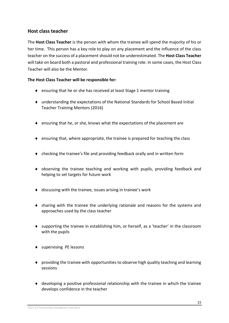### **Host class teacher**

The **Host Class Teacher** is the person with whom the trainee will spend the majority of his or her time. This person has a key role to play on any placement and the influence of the class teacher on the success of a placement should not be underestimated. The **Host Class Teacher** will take on board both a pastoral and professional training role. In some cases, the Host Class Teacher will also be the Mentor.

#### **The Host Class Teacher will be responsible for:**

- $\bullet$  ensuring that he or she has received at least Stage 1 mentor training
- understanding the expectations of the National Standards for School Based Initial Teacher Training Mentors (2016)
- $\bullet$  ensuring that he, or she, knows what the expectations of the placement are
- ensuring that, where appropriate, the trainee is prepared for teaching the class
- checking the trainee's file and providing feedback orally and in written form
- observing the trainee teaching and working with pupils, providing feedback and helping to set targets for future work
- $\bullet$  discussing with the trainee, issues arising in trainee's work
- sharing with the trainee the underlying rationale and reasons for the systems and approaches used by the class teacher
- supporting the trainee in establishing him, or herself, as a 'teacher' in the classroom with the pupils
- supervising PE lessons
- $\bullet$  providing the trainee with opportunities to observe high quality teaching and learning sessions
- developing a positive professional relationship with the trainee in which the trainee develops confidence in the teacher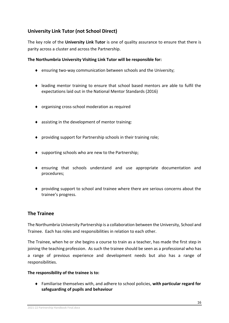## **University Link Tutor (not School Direct)**

The key role of the **University Link Tutor** is one of quality assurance to ensure that there is parity across a cluster and across the Partnership.

#### **The Northumbria University Visiting Link Tutor will be responsible for:**

- ensuring two-way communication between schools and the University;
- leading mentor training to ensure that school based mentors are able to fulfil the expectations laid out in the National Mentor Standards (2016)
- organising cross-school moderation as required
- ◆ assisting in the development of mentor training:
- $\bullet$  providing support for Partnership schools in their training role;
- $\bullet$  supporting schools who are new to the Partnership;
- ensuring that schools understand and use appropriate documentation and procedures;
- providing support to school and trainee where there are serious concerns about the trainee's progress.

#### **The Trainee**

The Northumbria University Partnership is a collaboration between the University, School and Trainee. Each has roles and responsibilities in relation to each other.

The Trainee, when he or she begins a course to train as a teacher, has made the first step in joining the teaching profession. As such the trainee should be seen as a professional who has a range of previous experience and development needs but also has a range of responsibilities.

#### **The responsibility of the trainee is to:**

 Familiarise themselves with, and adhere to school policies, **with particular regard for safeguarding of pupils and behaviour**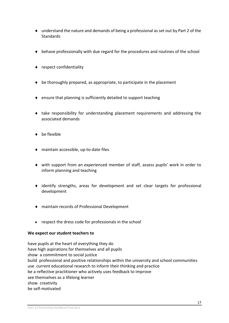- understand the nature and demands of being a professional as set out by Part 2 of the **Standards**
- behave professionally with due regard for the procedures and routines of the school
- respect confidentiality
- $\bullet$  be thoroughly prepared, as appropriate, to participate in the placement
- $\bullet$  ensure that planning is sufficiently detailed to support teaching
- take responsibility for understanding placement requirements and addressing the associated demands
- ◆ be flexible
- maintain accessible, up-to-date files
- with support from an experienced member of staff, assess pupils' work in order to inform planning and teaching
- identify strengths, areas for development and set clear targets for professional development
- maintain records of Professional Development
- respect the dress code for professionals in the school

#### **We expect our student teachers to**

have pupils at the heart of everything they do have high aspirations for themselves and all pupils show a commitment to social justice build professional and positive relationships within the university and school communities use current educational research to inform their thinking and practice be a reflective practitioner who actively uses feedback to improve see themselves as a lifelong learner show creativity be self-motivated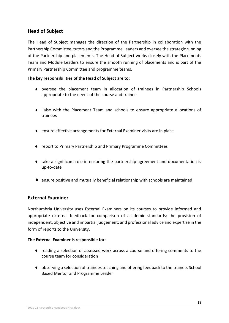## **Head of Subject**

The Head of Subject manages the direction of the Partnership in collaboration with the Partnership Committee, tutors and the Programme Leaders and oversee the strategic running of the Partnership and placements. The Head of Subject works closely with the Placements Team and Module Leaders to ensure the smooth running of placements and is part of the Primary Partnership Committee and programme teams.

#### **The key responsibilities of the Head of Subject are to:**

- oversee the placement team in allocation of trainees in Partnership Schools appropriate to the needs of the course and trainee
- liaise with the Placement Team and schools to ensure appropriate allocations of trainees
- ensure effective arrangements for External Examiner visits are in place
- report to Primary Partnership and Primary Programme Committees
- $\bullet$  take a significant role in ensuring the partnership agreement and documentation is up-to-date
- $\blacklozenge$  ensure positive and mutually beneficial relationship with schools are maintained

#### **External Examiner**

Northumbria University uses External Examiners on its courses to provide informed and appropriate external feedback for comparison of academic standards; the provision of independent, objective and impartial judgement; and professional advice and expertise in the form of reports to the University.

#### **The External Examiner is responsible for:**

- $\bullet$  reading a selection of assessed work across a course and offering comments to the course team for consideration
- observing a selection of trainees teaching and offering feedback to the trainee, School Based Mentor and Programme Leader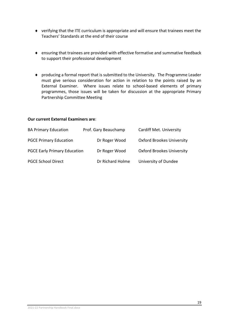- verifying that the ITE curriculum is appropriate and will ensure that trainees meet the Teachers' Standards at the end of their course
- ensuring that trainees are provided with effective formative and summative feedback to support their professional development
- producing a formal report that is submitted to the University. The Programme Leader must give serious consideration for action in relation to the points raised by an External Examiner. Where issues relate to school-based elements of primary programmes, those issues will be taken for discussion at the appropriate Primary Partnership Committee Meeting

#### **Our current External Examiners are**:

| <b>BA Primary Education</b>         | Prof. Gary Beauchamp | Cardiff Met. University          |
|-------------------------------------|----------------------|----------------------------------|
| <b>PGCE Primary Education</b>       | Dr Roger Wood        | <b>Oxford Brookes University</b> |
| <b>PGCE Early Primary Education</b> | Dr Roger Wood        | <b>Oxford Brookes University</b> |
| <b>PGCE School Direct</b>           | Dr Richard Holme     | University of Dundee             |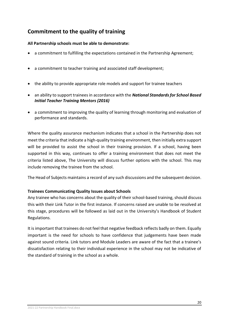# **Commitment to the quality of training**

#### **All Partnership schools must be able to demonstrate:**

- a commitment to fulfilling the expectations contained in the Partnership Agreement;
- a commitment to teacher training and associated staff development;
- the ability to provide appropriate role models and support for trainee teachers
- an ability to support trainees in accordance with the *National Standards for School Based Initial Teacher Training Mentors (2016)*
- a commitment to improving the quality of learning through monitoring and evaluation of performance and standards.

Where the quality assurance mechanism indicates that a school in the Partnership does not meet the criteria that indicate a high-quality training environment, then initially extra support will be provided to assist the school in their training provision. If a school, having been supported in this way, continues to offer a training environment that does not meet the criteria listed above, The University will discuss further options with the school. This may include removing the trainee from the school.

The Head of Subjects maintains a record of any such discussions and the subsequent decision.

#### **Trainees Communicating Quality Issues about Schools**

Any trainee who has concerns about the quality of their school-based training, should discuss this with their Link Tutor in the first instance. If concerns raised are unable to be resolved at this stage, procedures will be followed as laid out in the University's Handbook of Student Regulations.

It is important that trainees do not feel that negative feedback reflects badly on them. Equally important is the need for schools to have confidence that judgements have been made against sound criteria. Link tutors and Module Leaders are aware of the fact that a trainee's dissatisfaction relating to their individual experience in the school may not be indicative of the standard of training in the school as a whole.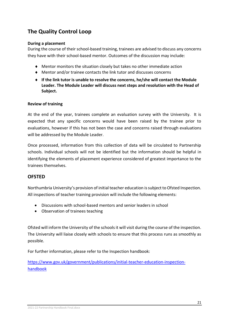# **The Quality Control Loop**

#### **During a placement**

During the course of their school-based training, trainees are advised to discuss any concerns they have with their school-based mentor. Outcomes of the discussion may include:

- Mentor monitors the situation closely but takes no other immediate action
- Mentor and/or trainee contacts the link tutor and discusses concerns
- **If the link tutor is unable to resolve the concerns, he/she will contact the Module Leader. The Module Leader will discuss next steps and resolution with the Head of Subject.**

#### **Review of training**

At the end of the year, trainees complete an evaluation survey with the University. It is expected that any specific concerns would have been raised by the trainee prior to evaluations, however if this has not been the case and concerns raised through evaluations will be addressed by the Module Leader.

Once processed, information from this collection of data will be circulated to Partnership schools. Individual schools will not be identified but the information should be helpful in identifying the elements of placement experience considered of greatest importance to the trainees themselves.

#### **OFSTED**

Northumbria University's provision of initial teacher education is subject to Ofsted Inspection. All inspections of teacher training provision will include the following elements:

- Discussions with school-based mentors and senior leaders in school
- Observation of trainees teaching

Ofsted will inform the University of the schools it will visit during the course of the inspection. The University will liaise closely with schools to ensure that this process runs as smoothly as possible.

For further information, please refer to the Inspection handbook:

[https://www.gov.uk/government/publications/initial-teacher-education-inspection](https://www.gov.uk/government/publications/initial-teacher-education-inspection-handbook)[handbook](https://www.gov.uk/government/publications/initial-teacher-education-inspection-handbook)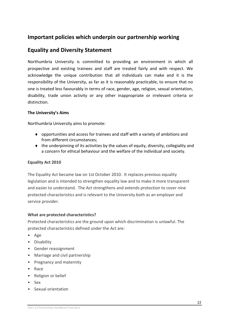## **Important policies which underpin our partnership working**

## **Equality and Diversity Statement**

Northumbria University is committed to providing an environment in which all prospective and existing trainees and staff are treated fairly and with respect. We acknowledge the unique contribution that all individuals can make and it is the responsibility of the University, as far as it is reasonably practicable, to ensure that no one is treated less favourably in terms of race, gender, age, religion, sexual orientation, disability, trade union activity or any other inappropriate or irrelevant criteria or distinction.

#### **The University's Aims**

Northumbria University aims to promote:

- opportunities and access for trainees and staff with a variety of ambitions and from different circumstances;
- $\bullet$  the underpinning of its activities by the values of equity, diversity, collegiality and a concern for ethical behaviour and the welfare of the individual and society.

#### **Equality Act 2010**

The Equality Act became law on 1st October 2010. It replaces previous equality legislation and is intended to strengthen equality law and to make it more transparent and easier to understand. The Act strengthens and extends protection to cover nine protected characteristics and is relevant to the University both as an employer and service provider.

#### **What are protected characteristics?**

Protected characteristics are the ground upon which discrimination is unlawful. The protected characteristics defined under the Act are:

- Age
- Disability
- Gender reassignment
- Marriage and civil partnership
- Pregnancy and maternity
- Race
- Religion or belief
- Sex
- Sexual orientation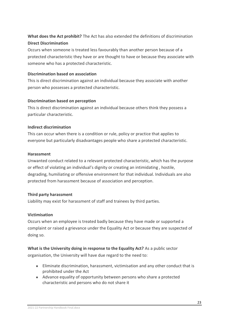## **What does the Act prohibit?** The Act has also extended the definitions of discrimination **Direct Discrimination**

Occurs when someone is treated less favourably than another person because of a protected characteristic they have or are thought to have or because they associate with someone who has a protected characteristic.

#### **Discrimination based on association**

This is direct discrimination against an individual because they associate with another person who possesses a protected characteristic.

#### **Discrimination based on perception**

This is direct discrimination against an individual because others think they possess a particular characteristic.

#### **Indirect discrimination**

This can occur when there is a condition or rule, policy or practice that applies to everyone but particularly disadvantages people who share a protected characteristic.

#### **Harassment**

Unwanted conduct related to a relevant protected characteristic, which has the purpose or effect of violating an individual's dignity or creating an intimidating , hostile, degrading, humiliating or offensive environment for that individual. Individuals are also protected from harassment because of association and perception.

#### **Third party harassment**

Liability may exist for harassment of staff and trainees by third parties.

#### **Victimisation**

Occurs when an employee is treated badly because they have made or supported a complaint or raised a grievance under the Equality Act or because they are suspected of doing so.

**What is the University doing in response to the Equality Act?** As a public sector organisation, the University will have due regard to the need to:

- Eliminate discrimination, harassment, victimisation and any other conduct that is prohibited under the Act
- Advance equality of opportunity between persons who share a protected characteristic and persons who do not share it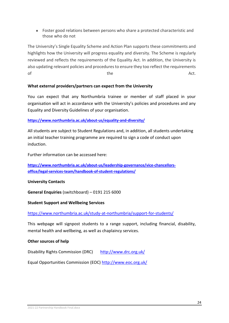Foster good relations between persons who share a protected characteristic and those who do not

The University's Single Equality Scheme and Action Plan supports these commitments and highlights how the University will progress equality and diversity. The Scheme is regularly reviewed and reflects the requirements of the Equality Act. In addition, the University is also updating relevant policies and procedures to ensure they too reflect the requirements of a contract of the contract of  $\mathsf{t}$  he contract  $\mathsf{t}$  and  $\mathsf{t}$ .

#### **What external providers/partners can expect from the University**

You can expect that any Northumbria trainee or member of staff placed in your organisation will act in accordance with the University's policies and procedures and any Equality and Diversity Guidelines of your organisation.

#### **<https://www.northumbria.ac.uk/about-us/equality-and-diversity/>**

All students are subject to Student Regulations and, in addition, all students undertaking an initial teacher training programme are required to sign a code of conduct upon induction.

Further information can be accessed here:

**[https://www.northumbria.ac.uk/about-us/leadership-governance/vice-chancellors](https://www.northumbria.ac.uk/about-us/leadership-governance/vice-chancellors-office/legal-services-team/handbook-of-student-regulations/)[office/legal-services-team/handbook-of-student-regulations/](https://www.northumbria.ac.uk/about-us/leadership-governance/vice-chancellors-office/legal-services-team/handbook-of-student-regulations/)**

#### **University Contacts**

**General Enquiries** (switchboard) – 0191 215 6000

#### **Student Support and Wellbeing Services**

<https://www.northumbria.ac.uk/study-at-northumbria/support-for-students/>

This webpage will signpost students to a range support, including financial, disability, mental health and wellbeing, as well as chaplaincy services.

#### **Other sources of help**

Disability Rights Commission (DRC) <http://www.drc.org.uk/>

Equal Opportunities Commission (EOC)<http://www.eoc.org.uk/>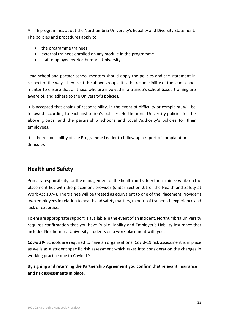All ITE programmes adopt the Northumbria University's Equality and Diversity Statement. The policies and procedures apply to:

- the programme trainees
- external trainees enrolled on any module in the programme
- staff employed by Northumbria University

Lead school and partner school mentors should apply the policies and the statement in respect of the ways they treat the above groups. It is the responsibility of the lead school mentor to ensure that all those who are involved in a trainee's school-based training are aware of, and adhere to the University's policies.

It is accepted that chains of responsibility, in the event of difficulty or complaint, will be followed according to each institution's policies: Northumbria University policies for the above groups, and the partnership school's and Local Authority's policies for their employees.

It is the responsibility of the Programme Leader to follow up a report of complaint or difficulty.

# **Health and Safety**

Primary responsibility for the management of the health and safety for a trainee while on the placement lies with the placement provider (under Section 2.1 of the Health and Safety at Work Act 1974). The trainee will be treated as equivalent to one of the Placement Provider's own employees in relation to health and safety matters, mindful of trainee's inexperience and lack of expertise.

To ensure appropriate support is available in the event of an incident, Northumbria University requires confirmation that you have Public Liability and Employer's Liability insurance that includes Northumbria University students on a work placement with you.

*Covid 19*- Schools are required to have an organisational Covid-19 risk assessment is in place as wells as a student specific risk assessment which takes into consideration the changes in working practice due to Covid-19

**By signing and returning the Partnership Agreement you confirm that relevant insurance and risk assessments in place.**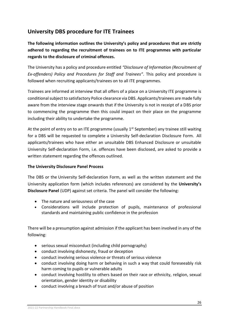# **University DBS procedure for ITE Trainees**

**The following information outlines the University's policy and procedures that are strictly adhered to regarding the recruitment of trainees on to ITE programmes with particular regards to the disclosure of criminal offences.**

The University has a policy and procedure entitled *"Disclosure of Information (Recruitment of Ex-offenders) Policy and Procedures for Staff and Trainees"*. This policy and procedure is followed when recruiting applicants/trainees on to all ITE programmes.

Trainees are informed at interview that all offers of a place on a University ITE programme is conditional subject to satisfactory Police clearance via DBS. Applicants/trainees are made fully aware from the interview stage onwards that if the University is not in receipt of a DBS prior to commencing the programme then this could impact on their place on the programme including their ability to undertake the programme.

At the point of entry on to an ITE programme (usually  $1<sup>st</sup>$  September) any trainee still waiting for a DBS will be requested to complete a University Self-declaration Disclosure Form. All applicants/trainees who have either an unsuitable DBS Enhanced Disclosure or unsuitable University Self-declaration Form, i.e. offences have been disclosed, are asked to provide a written statement regarding the offences outlined.

#### **The University Disclosure Panel Process**

The DBS or the University Self-declaration Form, as well as the written statement and the University application form (which includes references) are considered by the **University's Disclosure Panel** (UDP) against set criteria. The panel will consider the following:

- The nature and seriousness of the case
- Considerations will include protection of pupils, maintenance of professional standards and maintaining public confidence in the profession

There will be a presumption against admission if the applicant has been involved in any of the following:

- serious sexual misconduct (including child pornography)
- conduct involving dishonesty, fraud or deception
- conduct involving serious violence or threats of serious violence
- conduct involving doing harm or behaving in such a way that could foreseeably risk harm coming to pupils or vulnerable adults
- conduct involving hostility to others based on their race or ethnicity, religion, sexual orientation, gender identity or disability
- conduct involving a breach of trust and/or abuse of position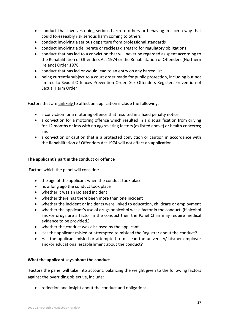- conduct that involves doing serious harm to others or behaving in such a way that could foreseeably risk serious harm coming to others
- conduct involving a serious departure from professional standards
- conduct involving a deliberate or reckless disregard for regulatory obligations
- conduct that has led to a conviction that will never be regarded as spent according to the Rehabilitation of Offenders Act 1974 or the Rehabilitation of Offenders (Northern Ireland) Order 1978
- conduct that has led or would lead to an entry on any barred list
- being currently subject to a court order made for public protection, including but not limited to Sexual Offences Prevention Order, Sex Offenders Register, Prevention of Sexual Harm Order

Factors that are unlikely to affect an application include the following:

- a conviction for a motoring offence that resulted in a fixed penalty notice
- a conviction for a motoring offence which resulted in a disqualification from driving for 12 months or less with no aggravating factors (as listed above) or health concerns; and
- a conviction or caution that is a protected conviction or caution in accordance with the Rehabilitation of Offenders Act 1974 will not affect an application.

#### **The applicant's part in the conduct or offence**

Factors which the panel will consider:

- the age of the applicant when the conduct took place
- how long ago the conduct took place
- whether it was an isolated incident
- whether there has there been more than one incident
- whether the incident or incidents were linked to education, childcare or employment
- whether the applicant's use of drugs or alcohol was a factor in the conduct. (If alcohol and/or drugs are a factor in the conduct then the Panel Chair may require medical evidence to be provided.)
- whether the conduct was disclosed by the applicant
- Has the applicant misled or attempted to mislead the Registrar about the conduct?
- Has the applicant misled or attempted to mislead the university/ his/her employer and/or educational establishment about the conduct?

#### **What the applicant says about the conduct**

Factors the panel will take into account, balancing the weight given to the following factors against the overriding objective, include:

• reflection and insight about the conduct and obligations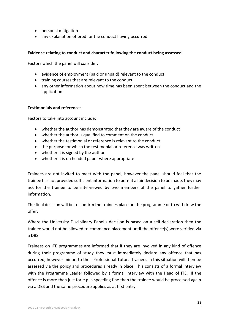- personal mitigation
- any explanation offered for the conduct having occurred

#### **Evidence relating to conduct and character following the conduct being assessed**

Factors which the panel will consider:

- evidence of employment (paid or unpaid) relevant to the conduct
- training courses that are relevant to the conduct
- any other information about how time has been spent between the conduct and the application.

#### **Testimonials and references**

Factors to take into account include:

- whether the author has demonstrated that they are aware of the conduct
- whether the author is qualified to comment on the conduct
- whether the testimonial or reference is relevant to the conduct
- the purpose for which the testimonial or reference was written
- whether it is signed by the author
- whether it is on headed paper where appropriate

Trainees are not invited to meet with the panel, however the panel should feel that the trainee has not provided sufficient information to permit a fair decision to be made, they may ask for the trainee to be interviewed by two members of the panel to gather further information.

The final decision will be to confirm the trainees place on the programme or to withdraw the offer.

Where the University Disciplinary Panel's decision is based on a self-declaration then the trainee would not be allowed to commence placement until the offence(s) were verified via a DBS.

Trainees on ITE programmes are informed that if they are involved in any kind of offence during their programme of study they must immediately declare any offence that has occurred, however minor, to their Professional Tutor. Trainees in this situation will then be assessed via the policy and procedures already in place. This consists of a formal interview with the Programme Leader followed by a formal interview with the Head of ITE. If the offence is more than just for e.g. a speeding fine then the trainee would be processed again via a DBS and the same procedure applies as at first entry.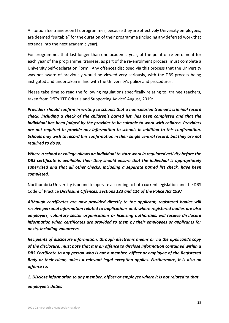All tuition fee trainees on ITE programmes, because they are effectively University employees, are deemed "suitable" for the duration of their programme (including any deferred work that extends into the next academic year).

For programmes that last longer than one academic year, at the point of re-enrolment for each year of the programme, trainees, as part of the re-enrolment process, must complete a University Self-declaration Form. Any offences disclosed via this process that the University was not aware of previously would be viewed very seriously, with the DBS process being instigated and undertaken in line with the University's policy and procedures.

Please take time to read the following regulations specifically relating to trainee teachers, taken from DfE's 'ITT Criteria and Supporting Advice' August, 2019:

*Providers should confirm in writing to schools that a non-salaried trainee's criminal record check, including a check of the children's barred list, has been completed and that the individual has been judged by the provider to be suitable to work with children. Providers are not required to provide any information to schools in addition to this confirmation. Schools may wish to record this confirmation in their single central record, but they are not required to do so.*

*Where a school or college allows an individual to start work in regulated activity before the DBS certificate is available, then they should ensure that the individual is appropriately supervised and that all other checks, including a separate barred list check, have been completed.*

Northumbria University is bound to operate according to both current legislation and the DBS Code Of Practice *Disclosure Offences: Sections 123 and 124 of the Police Act 1997*

*Although certificates are now provided directly to the applicant, registered bodies will receive personal information related to applications and, where registered bodies are also employers, voluntary sector organisations or licensing authorities, will receive disclosure information when certificates are provided to them by their employees or applicants for posts, including volunteers.*

*Recipients of disclosure information, through electronic means or via the applicant's copy of the disclosure, must note that it is an offence to disclose information contained within a DBS Certificate to any person who is not a member, officer or employee of the Registered Body or their client, unless a relevant legal exception applies. Furthermore, it is also an offence to:*

*1. Disclose information to any member, officer or employee where it is not related to that employee's duties*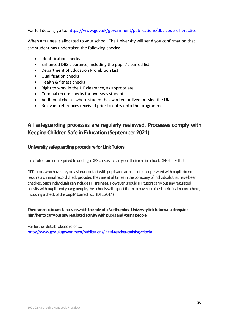For full details, go to: <https://www.gov.uk/government/publications/dbs-code-of-practice>

When a trainee is allocated to your school, The University will send you confirmation that the student has undertaken the following checks:

- Identification checks
- Enhanced DBS clearance, including the pupils's barred list
- Department of Education Prohibition List
- Qualification checks
- Health & fitness checks
- Right to work in the UK clearance, as appropriate
- Criminal record checks for overseas students
- Additional checks where student has worked or lived outside the UK
- Relevant references received prior to entry onto the programme

# **All safeguarding processes are regularly reviewed. Processes comply with Keeping Children Safe in Education (September 2021)**

#### **University safeguarding procedure for Link Tutors**

Link Tutors are not required to undergo DBS checks to carry out their role in school. DFE states that:

*'*ITT tutors who have only occasional contact with pupils and are not left unsupervised with pupils do not require a criminal record check provided they are at all times in the company of individuals that have been checked**. Such individuals can include ITT trainees**. However, should ITT tutors carry out any regulated activity with pupils and young people, the schools will expect them to have obtained a criminal record check, including a check of the pupils' barred list.' (DFE 2014)

#### **There are no circumstances in which the role of a Northumbria University link tutor would require him/her to carry out any regulated activity with pupils and young people.**

For further details, please refer to: <https://www.gov.uk/government/publications/initial-teacher-training-criteria>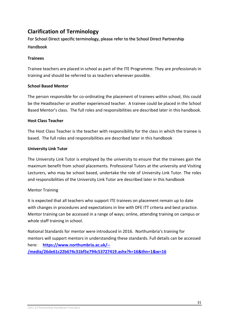# **Clarification of Terminology**

For School Direct specific terminology, please refer to the School Direct Partnership Handbook

#### **Trainees**

Trainee teachers are placed in school as part of the ITE Programme. They are professionals in training and should be referred to as teachers whenever possible.

#### **School Based Mentor**

The person responsible for co-ordinating the placement of trainees within school, this could be the Headteacher or another experienced teacher. A trainee could be placed in the School Based Mentor's class. The full roles and responsibilities are described later in this handbook.

#### **Host Class Teacher**

The Host Class Teacher is the teacher with responsibility for the class in which the trainee is based. The full roles and responsibilities are described later in this handbook

#### **University Link Tutor**

The University Link Tutor is employed by the university to ensure that the trainees gain the maximum benefit from school placements. Professional Tutors at the university and Visiting Lecturers, who may be school based, undertake the role of University Link Tutor. The roles and responsibilities of the University Link Tutor are described later in this handbook

#### Mentor Training

It is expected that all teachers who support ITE trainees on placement remain up to date with changes in procedures and expectations in line with DFE ITT criteria and best practice. Mentor training can be accessed in a range of ways; online, attending training on campus or whole staff training in school.

National Standards for mentor were introduced in 2016. Northumbria's training for mentors will support mentors in understanding these standards. Full details can be accessed here: **[https://www.northumbria.ac.uk/--](https://www.northumbria.ac.uk/--/media/26de61c22b674c31bf5e794c53727419.ashx?h=16&thn=1&w=16) [/media/26de61c22b674c31bf5e794c53727419.ashx?h=16&thn=1&w=16](https://www.northumbria.ac.uk/--/media/26de61c22b674c31bf5e794c53727419.ashx?h=16&thn=1&w=16)**